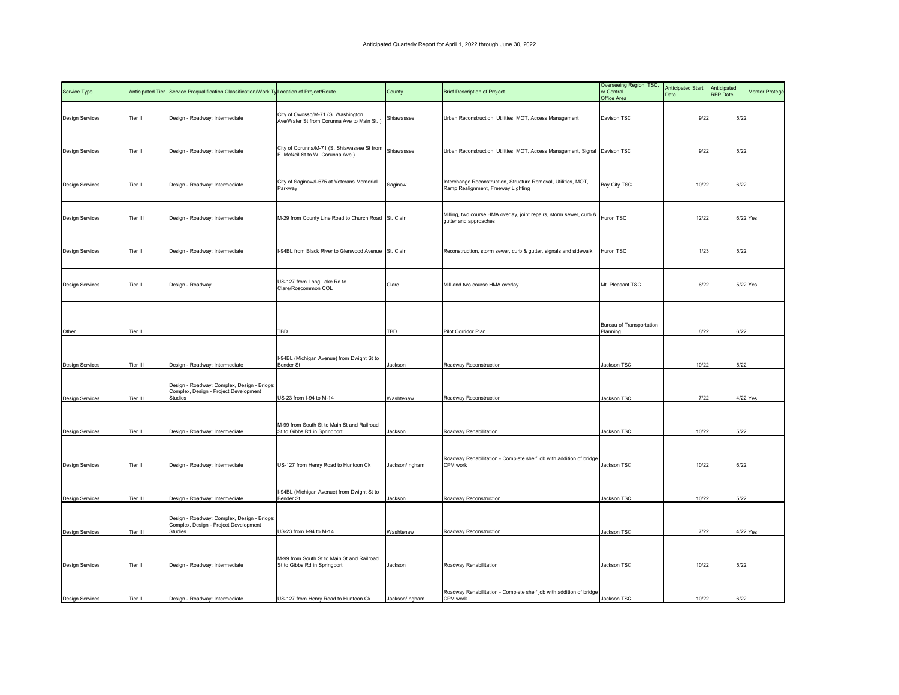| Service Type           |          | Anticipated Tier Service Prequalification Classification/Work Ty Location of Project/Route             |                                                                                 | County         | <b>Brief Description of Project</b>                                                                    | Overseeing Region, TSC,<br>or Central<br><b>Office Area</b> | <b>Anticipated Start</b><br>Date | Anticipated<br>RFP Date | Mentor Protégé |
|------------------------|----------|--------------------------------------------------------------------------------------------------------|---------------------------------------------------------------------------------|----------------|--------------------------------------------------------------------------------------------------------|-------------------------------------------------------------|----------------------------------|-------------------------|----------------|
| Design Services        | Tier II  | Design - Roadway: Intermediate                                                                         | City of Owosso/M-71 (S. Washington<br>Ave/Water St from Corunna Ave to Main St. | Shiawassee     | Urban Reconstruction, Utilities, MOT, Access Management                                                | Davison TSC                                                 | 9/22                             | 5/22                    |                |
| <b>Design Services</b> | Tier II  | Design - Roadway: Intermediate                                                                         | City of Corunna/M-71 (S. Shiawassee St from<br>E. McNeil St to W. Corunna Ave ) | Shiawassee     | Urban Reconstruction, Utilities, MOT, Access Management, Signal Davison TSC                            |                                                             | 9/22                             | 5/22                    |                |
| Design Services        | Tier II  | Design - Roadway: Intermediate                                                                         | City of Saginaw/I-675 at Veterans Memorial<br>Parkway                           | Saginaw        | Interchange Reconstruction, Structure Removal, Utilities, MOT,<br>Ramp Realignment, Freeway Lighting   | Bay City TSC                                                | 10/22                            | 6/22                    |                |
| <b>Design Services</b> | Tier III | Design - Roadway: Intermediate                                                                         | M-29 from County Line Road to Church Road St. Clair                             |                | Milling, two course HMA overlay, joint repairs, storm sewer, curb & Huron TSC<br>gutter and approaches |                                                             | 12/22                            | 6/22 Yes                |                |
| <b>Design Services</b> | Tier II  | Design - Roadway: Intermediate                                                                         | I-94BL from Black River to Glenwood Avenue St. Clair                            |                | Reconstruction, storm sewer, curb & gutter, signals and sidewalk                                       | Huron TSC                                                   | 1/23                             | 5/22                    |                |
| Design Services        | Tier II  | Design - Roadway                                                                                       | US-127 from Long Lake Rd to<br>Clare/Roscommon COL                              | Clare          | Mill and two course HMA overlay                                                                        | Mt. Pleasant TSC                                            | 6/22                             | $5/22$ Yes              |                |
| Other                  | Tier II  |                                                                                                        | TBD                                                                             | TBD            | Pilot Corridor Plan                                                                                    | Bureau of Transportation<br>Planning                        | 8/22                             | 6/22                    |                |
|                        |          |                                                                                                        | I-94BL (Michigan Avenue) from Dwight St to                                      |                |                                                                                                        |                                                             |                                  |                         |                |
| <b>Design Services</b> | Tier III | Design - Roadway: Intermediate<br>Design - Roadway: Complex, Design - Bridge:                          | <b>Bender St</b>                                                                | Jackson        | Roadway Reconstruction                                                                                 | Jackson TSC                                                 | 10/22                            | 5/22                    |                |
| Design Services        | Tier III | Complex, Design - Project Development<br><b>Studies</b>                                                | US-23 from I-94 to M-14                                                         | Washtenaw      | Roadway Reconstruction                                                                                 | Jackson TSC                                                 | 7/22                             | 4/22 Yes                |                |
|                        | Tier II  |                                                                                                        | M-99 from South St to Main St and Railroad                                      |                | Roadway Rehabilitation                                                                                 | Jackson TSC                                                 | 10/22                            | 5/22                    |                |
| Design Services        |          | Design - Roadway: Intermediate                                                                         | St to Gibbs Rd in Springport                                                    | Jackson        | Roadway Rehabilitation - Complete shelf job with addition of bridge                                    |                                                             |                                  |                         |                |
| Design Services        | Tier II  | Design - Roadway: Intermediate                                                                         | US-127 from Henry Road to Huntoon Ck                                            | Jackson/Ingham | CPM work                                                                                               | Jackson TSC                                                 | 10/22                            | 6/22                    |                |
| Design Services        | Tier III | Design - Roadway: Intermediate                                                                         | I-94BL (Michigan Avenue) from Dwight St to<br>Bender St                         | Jackson        | Roadway Reconstruction                                                                                 | Jackson TSC                                                 | 10/22                            | 5/22                    |                |
| Design Services        | Tier III | Design - Roadway: Complex, Design - Bridge:<br>Complex, Design - Project Development<br><b>Studies</b> | US-23 from I-94 to M-14                                                         | Washtenaw      | Roadway Reconstruction                                                                                 | Jackson TSC                                                 | 7/22                             |                         | $4/22$ Yes     |
|                        |          |                                                                                                        |                                                                                 |                |                                                                                                        |                                                             |                                  |                         |                |
| Design Services        | Tier II  | Design - Roadway: Intermediate                                                                         | M-99 from South St to Main St and Railroad<br>St to Gibbs Rd in Springport      | Jackson        | Roadway Rehabilitation                                                                                 | Jackson TSC                                                 | 10/22                            | 5/22                    |                |
| Design Services        | Tier II  | Design - Roadway: Intermediate                                                                         | US-127 from Henry Road to Huntoon Ck                                            | Jackson/Ingham | Roadway Rehabilitation - Complete shelf job with addition of bridge<br>CPM work                        | Jackson TSC                                                 | 10/22                            | 6/22                    |                |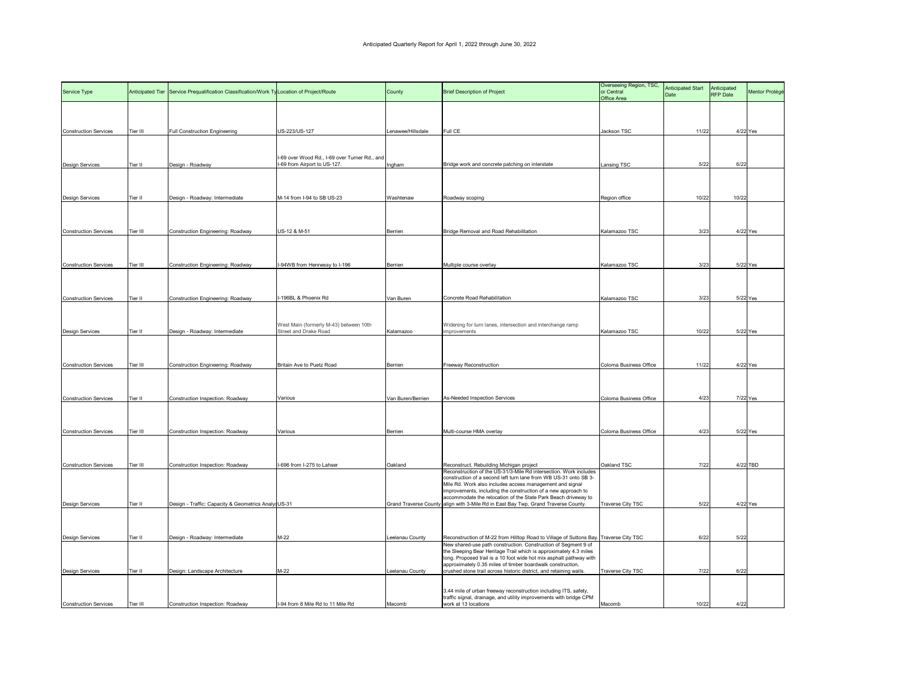| Service Type                 |          | Anticipated Tier Service Prequalification Classification/Work Ty Location of Project/Route |                                                                               | County            | <b>Brief Description of Project</b>                                                                                                                                                                                                                                                                                                  | Overseeing Region, TSC,<br>or Central<br><b>Office Area</b> | <b>Anticipated Start</b><br>Date | Anticipated<br><b>RFP</b> Date | Mentor Protégé |
|------------------------------|----------|--------------------------------------------------------------------------------------------|-------------------------------------------------------------------------------|-------------------|--------------------------------------------------------------------------------------------------------------------------------------------------------------------------------------------------------------------------------------------------------------------------------------------------------------------------------------|-------------------------------------------------------------|----------------------------------|--------------------------------|----------------|
|                              |          |                                                                                            |                                                                               | Lenawee/Hillsdale |                                                                                                                                                                                                                                                                                                                                      | Jackson TSC                                                 |                                  |                                |                |
| <b>Construction Services</b> | Tier III | <b>Full Construction Engineering</b>                                                       | US-223/US-127                                                                 |                   | Full CE                                                                                                                                                                                                                                                                                                                              |                                                             | 11/22                            |                                | 4/22 Yes       |
| Design Services              | Tier II  | Design - Roadway                                                                           | I-69 over Wood Rd., I-69 over Turner Rd., and<br>I-69 from Airport to US-127. | Ingham            | Bridge work and concrete patching on interstate                                                                                                                                                                                                                                                                                      | Lansing TSC                                                 | 5/22                             | 6/22                           |                |
| Design Services              | Tier II  | Design - Roadway: Intermediate                                                             | M-14 from I-94 to SB US-23                                                    | Washtenaw         | Roadway scoping                                                                                                                                                                                                                                                                                                                      | Region office                                               | 10/22                            | 10/22                          |                |
|                              |          |                                                                                            |                                                                               |                   |                                                                                                                                                                                                                                                                                                                                      |                                                             |                                  |                                |                |
| Construction Services        | Tier III | Construction Engineering: Roadway                                                          | US-12 & M-51                                                                  | Berrien           | Bridge Removal and Road Rehabilitation                                                                                                                                                                                                                                                                                               | Kalamazoo TSC                                               | 3/23                             |                                | 4/22 Yes       |
| Construction Services        | Tier III | Construction Engineering: Roadway                                                          | I-94WB from Hennessy to I-196                                                 | <b>Berrien</b>    | Multiple course overlay                                                                                                                                                                                                                                                                                                              | Kalamazoo TSC                                               | 3/23                             |                                | $5/22$ Yes     |
|                              |          |                                                                                            |                                                                               |                   |                                                                                                                                                                                                                                                                                                                                      |                                                             |                                  |                                |                |
| <b>Construction Services</b> | Tier II  | Construction Engineering: Roadway                                                          | I-196BL & Phoenix Rd                                                          | Van Buren         | Concrete Road Rehabilitation                                                                                                                                                                                                                                                                                                         | Kalamazoo TSC                                               | 3/23                             |                                | $5/22$ Yes     |
| Design Services              | Tier II  | Design - Roadway: Intermediate                                                             | West Main (formerly M-43) between 10th<br><b>Street and Drake Road</b>        | Kalamazoo         | Widening for turn lanes, intersection and interchange ramp<br>improvements                                                                                                                                                                                                                                                           | Kalamazoo TSC                                               | 10/22                            |                                | 5/22 Yes       |
|                              |          |                                                                                            |                                                                               |                   |                                                                                                                                                                                                                                                                                                                                      |                                                             |                                  |                                |                |
| <b>Construction Services</b> | Tier III | Construction Engineering: Roadway                                                          | Britain Ave to Puetz Road                                                     | <b>Berrien</b>    | <b>Freeway Reconstruction</b>                                                                                                                                                                                                                                                                                                        | Coloma Business Office                                      | 11/22                            |                                | 4/22 Yes       |
| Construction Services        | Tier II  | Construction Inspection: Roadway                                                           | Various                                                                       | Van Buren/Berrien | As-Needed Inspection Services                                                                                                                                                                                                                                                                                                        | Coloma Business Office                                      | 4/23                             |                                | 7/22 Yes       |
|                              |          |                                                                                            |                                                                               |                   |                                                                                                                                                                                                                                                                                                                                      |                                                             |                                  |                                |                |
| Construction Services        | Tier III | Construction Inspection: Roadway                                                           | Various                                                                       | <b>Berrien</b>    | Multi-course HMA overlay                                                                                                                                                                                                                                                                                                             | Coloma Business Office                                      | 4/23                             |                                | 5/22 Yes       |
| <b>Construction Services</b> | Tier III | Construction Inspection: Roadway                                                           | I-696 from I-275 to Lahser                                                    | Oakland           | Reconstruct, Rebuilding Michigan project                                                                                                                                                                                                                                                                                             | Oakland TSC                                                 | 7/22                             |                                | $4/22$ TBD     |
|                              |          |                                                                                            |                                                                               |                   | Reconstruction of the US-31/3-Mile Rd intersection. Work includes<br>construction of a second left turn lane from WB US-31 onto SB 3-<br>Mile Rd. Work also includes access management and signal<br>improvements, including the construction of a new approach to<br>accommodate the relocation of the State Park Beach driveway to |                                                             |                                  |                                |                |
| Design Services              | Tier II  | Design - Traffic: Capacity & Geometrics Analys US-31                                       |                                                                               |                   | Grand Traverse County align with 3-Mile Rd in East Bay Twp, Grand Traverse County.                                                                                                                                                                                                                                                   | Traverse City TSC                                           | 5/22                             |                                | 4/22 Yes       |
| Design Services              | Tier II  | Design - Roadway: Intermediate                                                             | $M-22$                                                                        | Leelanau County   | Reconstruction of M-22 from Hilltop Road to Village of Suttons Bay. Traverse City TSC                                                                                                                                                                                                                                                |                                                             | 6/22                             | 5/22                           |                |
|                              |          |                                                                                            |                                                                               |                   | New shared-use path construction. Construction of Segment 9 of<br>the Sleeping Bear Heritage Trail which is approximately 4.3 miles<br>long. Proposed trail is a 10 foot wide hot mix asphalt pathway with<br>approximately 0.35 miles of timber boardwalk construction,                                                             |                                                             |                                  |                                |                |
| Design Services              | Tier II  | Design: Landscape Architecture                                                             | $M-22$                                                                        | Leelanau County   | crushed stone trail across historic district, and retaining walls.                                                                                                                                                                                                                                                                   | <b>Traverse City TSC</b>                                    | 7/22                             | 6/22                           |                |
| <b>Construction Services</b> | Tier III | Construction Inspection: Roadway                                                           | I-94 from 8 Mile Rd to 11 Mile Rd                                             | Macomb            | 3.44 mile of urban freeway reconstruction including ITS, safety,<br>traffic signal, drainage, and utility improvements with bridge CPM<br>work at 13 locations                                                                                                                                                                       | Macomb                                                      | 10/22                            | 4/22                           |                |